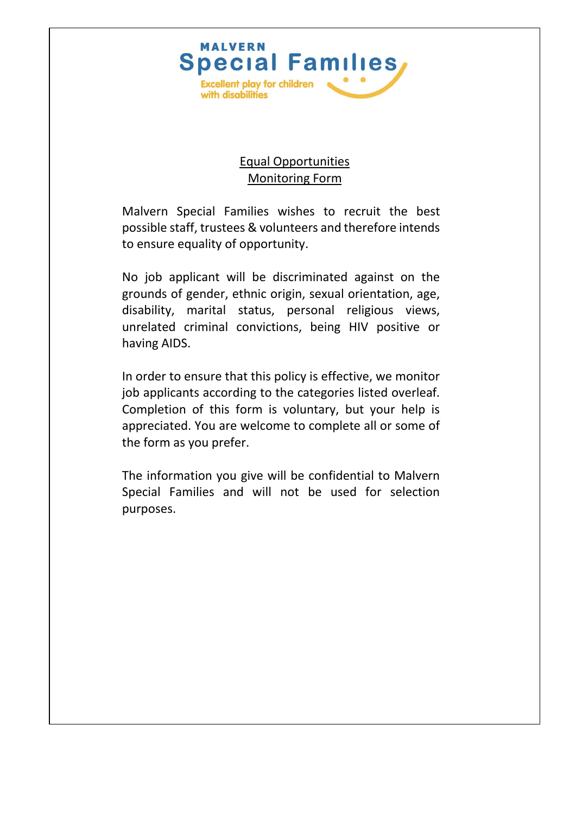

## Equal Opportunities Monitoring Form

Malvern Special Families wishes to recruit the best possible staff, trustees & volunteers and therefore intends to ensure equality of opportunity.

No job applicant will be discriminated against on the grounds of gender, ethnic origin, sexual orientation, age, disability, marital status, personal religious views, unrelated criminal convictions, being HIV positive or having AIDS.

In order to ensure that this policy is effective, we monitor job applicants according to the categories listed overleaf. Completion of this form is voluntary, but your help is appreciated. You are welcome to complete all or some of the form as you prefer.

The information you give will be confidential to Malvern Special Families and will not be used for selection purposes.